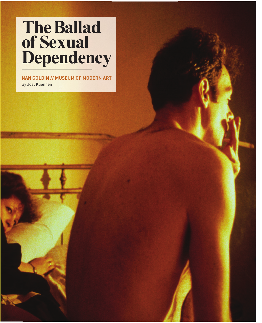# **TheBallad of Sexual Dependency**

**NAN GOLDIN // MUSEUM OF MODERN ART** By Joel Kuennen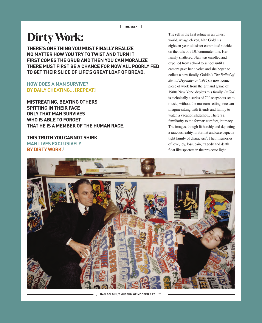# **DirtyWork:**

**THERE'S ONE THING YOU MUST FINALLY REALIZE NO MATTER HOW YOU TRY TO TWIST AND TURN IT FIRST COMES THE GRUB AND THEN YOU CAN MORALIZE THERE MUST FIRST BE A CHANCE FOR NOW ALL POORLY FED TO GET THEIR SLICE OF LIFE'S GREAT LOAF OF BREAD.**

# **HOW DOES A MAN SURVIVE? BY DAILY CHEATING… [REPEAT]**

**MISTREATING, BEATING OTHERS SPITTING IN THEIR FACE ONLY THAT MAN SURVIVES WHO IS ABLE TO FORGET THAT HE IS A MEMBER OF THE HUMAN RACE.**

**THIS TRUTH YOU CANNOT SHIRK MAN LIVES EXCLUSIVELY BY DIRTY WORK.1**

The self is the first refuge in an unjust world. At age eleven, Nan Goldin's eighteen-year-old sister committed suicide on the rails of a DC commuter line. Her family shattered, Nan was enrolled and expelled from school to school until a camera gave her a voice and she began to collect a new family. Goldin's *The Ballad of Sexual Dependency* (1985), a now iconic piece of work from the grit and grime of 1980s New York, depicts this family. *Ballad* is technically a series of 700 snapshots set to music; without the museum setting, one can imagine sitting with friends and family to watch a vacation slideshow. There's a familiarity to the format: comfort, intimacy. The images, though lit harshly and depicting a raucous reality, in format and care depict a tight family of characters**<sup>2</sup>** . Their memories of love, joy, loss, pain, tragedy and death float like specters in the projector light. —



[ **NAN GOLDIN // MUSEUM OF MODERN ART** | 23 ]